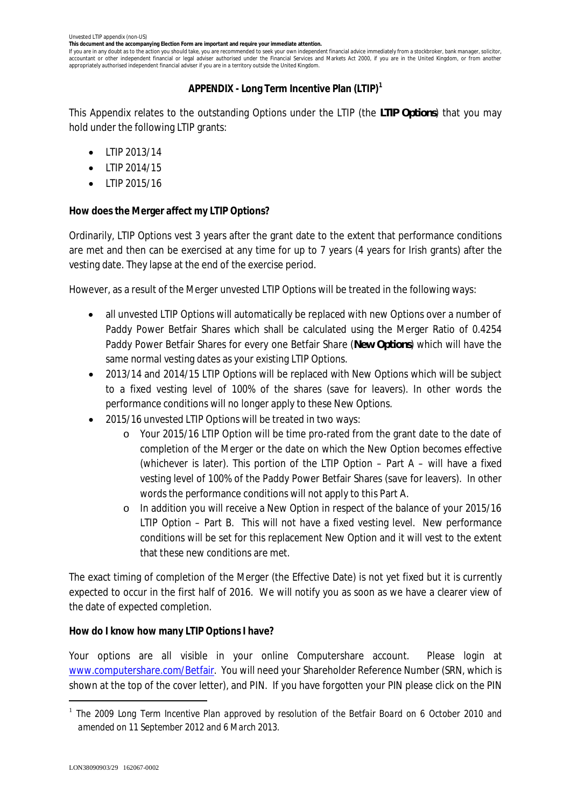**This document and the accompanying Election Form are important and require your immediate attention.**

If you are in any doubt as to the action you should take, you are recommended to seek your own independent financial advice immediately from a stockbroker, bank manager, solicitor, accountant or other independent financial or legal adviser authorised under the Financial Services and Markets Act 2000, if you are in the United Kingdom, or from another appropriately authorised independent financial adviser if you are in a territory outside the United Kingdom.

# **APPENDIX - Long Term Incentive Plan (LTIP)<sup>1</sup>**

This Appendix relates to the outstanding Options under the LTIP (the *LTIP Options*) that you may hold under the following LTIP grants:

- · LTIP 2013/14
- · LTIP 2014/15
- · LTIP 2015/16

**How does the Merger affect my LTIP Options?**

Ordinarily, LTIP Options vest 3 years after the grant date to the extent that performance conditions are met and then can be exercised at any time for up to 7 years (4 years for Irish grants) after the vesting date. They lapse at the end of the exercise period.

However, as a result of the Merger unvested LTIP Options will be treated in the following ways:

- · all unvested LTIP Options will automatically be replaced with new Options over a number of Paddy Power Betfair Shares which shall be calculated using the Merger Ratio of 0.4254 Paddy Power Betfair Shares for every one Betfair Share (*New Options*) which will have the same normal vesting dates as your existing LTIP Options.
- · 2013/14 and 2014/15 LTIP Options will be replaced with New Options which will be subject to a fixed vesting level of 100% of the shares (save for leavers). In other words the performance conditions will no longer apply to these New Options.
- · 2015/16 unvested LTIP Options will be treated in two ways:
	- o Your 2015/16 LTIP Option will be time pro-rated from the grant date to the date of completion of the Merger or the date on which the New Option becomes effective (whichever is later). This portion of the LTIP Option – Part A – will have a fixed vesting level of 100% of the Paddy Power Betfair Shares (save for leavers). In other words the performance conditions will not apply to this Part A.
	- o In addition you will receive a New Option in respect of the balance of your 2015/16 LTIP Option – Part B. This will not have a fixed vesting level. New performance conditions will be set for this replacement New Option and it will vest to the extent that these new conditions are met.

The exact timing of completion of the Merger (the Effective Date) is not yet fixed but it is currently expected to occur in the first half of 2016. We will notify you as soon as we have a clearer view of the date of expected completion.

**How do I know how many LTIP Options I have?**

Your options are all visible in your online Computershare account. Please login at www.computershare.com/Betfair. You will need your Shareholder Reference Number (SRN, which is shown at the top of the cover letter), and PIN. If you have forgotten your PIN please click on the PIN

<sup>1</sup> *The 2009 Long Term Incentive Plan approved by resolution of the Betfair Board on 6 October 2010 and amended on 11 September 2012 and 6 March 2013.*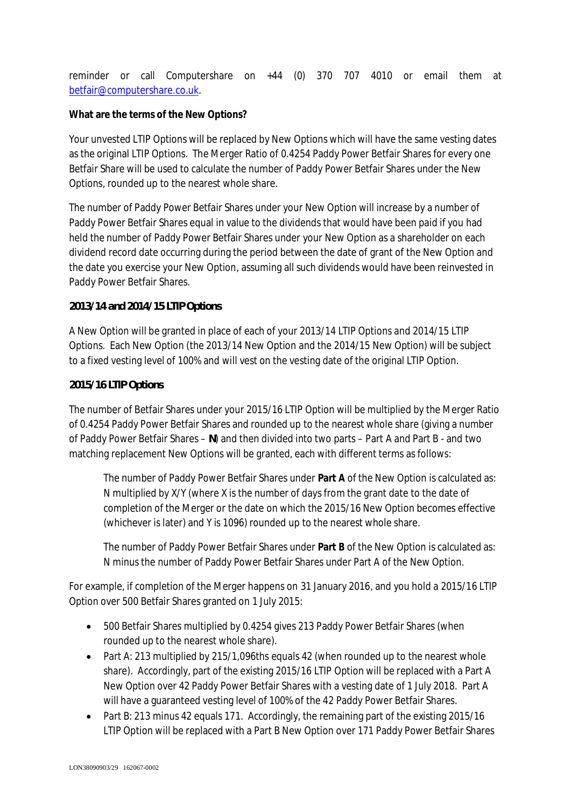reminder or call Computershare on +44 (0) 370 707 4010 or email them at betfair@computershare.co.uk.

# **What are the terms of the New Options?**

Your unvested LTIP Options will be replaced by New Options which will have the same vesting dates as the original LTIP Options. The Merger Ratio of 0.4254 Paddy Power Betfair Shares for every one Betfair Share will be used to calculate the number of Paddy Power Betfair Shares under the New Options, rounded up to the nearest whole share.

The number of Paddy Power Betfair Shares under your New Option will increase by a number of Paddy Power Betfair Shares equal in value to the dividends that would have been paid if you had held the number of Paddy Power Betfair Shares under your New Option as a shareholder on each dividend record date occurring during the period between the date of grant of the New Option and the date you exercise your New Option, assuming all such dividends would have been reinvested in Paddy Power Betfair Shares.

## *2013/14 and 2014/15 LTIP Options*

A New Option will be granted in place of each of your 2013/14 LTIP Options and 2014/15 LTIP Options. Each New Option (the 2013/14 New Option and the 2014/15 New Option) will be subject to a fixed vesting level of 100% and will vest on the vesting date of the original LTIP Option.

### *2015/16 LTIP Options*

The number of Betfair Shares under your 2015/16 LTIP Option will be multiplied by the Merger Ratio of 0.4254 Paddy Power Betfair Shares and rounded up to the nearest whole share (giving a number of Paddy Power Betfair Shares – *N*) and then divided into two parts – Part A and Part B - and two matching replacement New Options will be granted, each with different terms as follows:

The number of Paddy Power Betfair Shares under **Part A** of the New Option is calculated as: N multiplied by X/Y (where X is the number of days from the grant date to the date of completion of the Merger or the date on which the 2015/16 New Option becomes effective (whichever is later) and Y is 1096) rounded up to the nearest whole share.

The number of Paddy Power Betfair Shares under **Part B** of the New Option is calculated as: N minus the number of Paddy Power Betfair Shares under Part A of the New Option.

For example, if completion of the Merger happens on 31 January 2016, and you hold a 2015/16 LTIP Option over 500 Betfair Shares granted on 1 July 2015:

- · 500 Betfair Shares multiplied by 0.4254 gives 213 Paddy Power Betfair Shares (when rounded up to the nearest whole share).
- Part A: 213 multiplied by 215/1,096ths equals 42 (when rounded up to the nearest whole share). Accordingly, part of the existing 2015/16 LTIP Option will be replaced with a Part A New Option over 42 Paddy Power Betfair Shares with a vesting date of 1 July 2018. Part A will have a guaranteed vesting level of 100% of the 42 Paddy Power Betfair Shares.
- Part B: 213 minus 42 equals 171. Accordingly, the remaining part of the existing 2015/16 LTIP Option will be replaced with a Part B New Option over 171 Paddy Power Betfair Shares